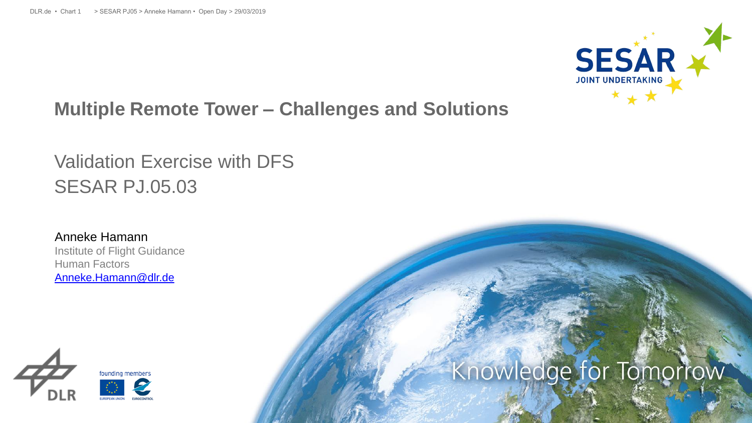

# **Multiple Remote Tower – Challenges and Solutions**

# Validation Exercise with DFS SESAR PJ.05.03

Anneke Hamann Institute of Flight Guidance Human Factors [Anneke.Hamann@dlr.de](mailto:Maria.Hagl@dlr.de)



# Knowledge for Tomorrow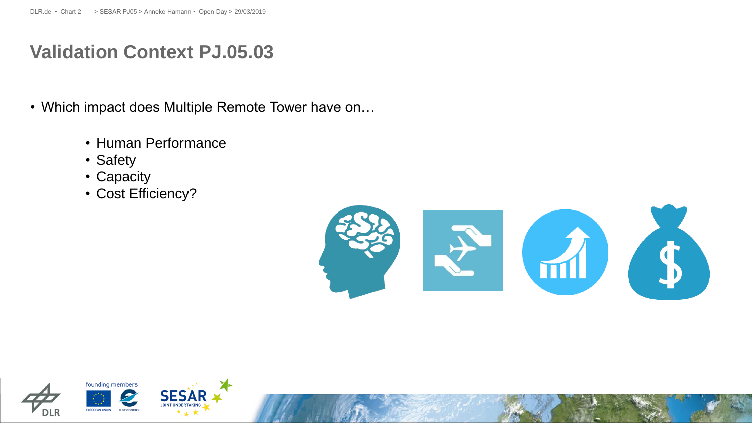#### **Validation Context PJ.05.03**

- Which impact does Multiple Remote Tower have on…
	- Human Performance
	- Safety
	- Capacity
	- Cost Efficiency?



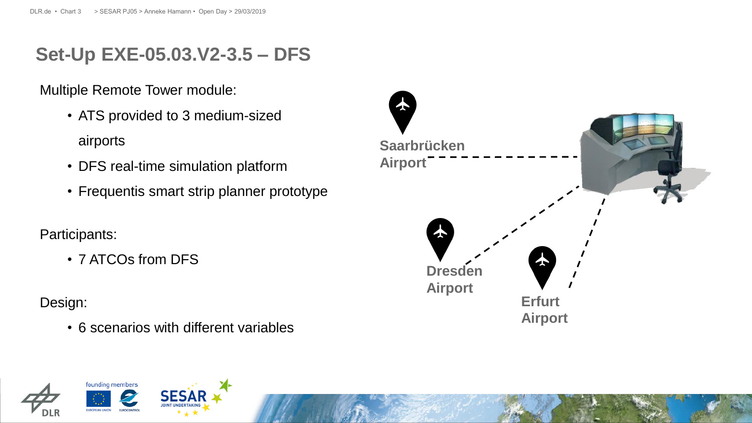### **Set-Up EXE-05.03.V2-3.5 – DFS**

Multiple Remote Tower module:

- ATS provided to 3 medium-sized airports
- DFS real-time simulation platform
- Frequentis smart strip planner prototype

Participants:

• 7 ATCOs from DFS

Design:

• 6 scenarios with different variables



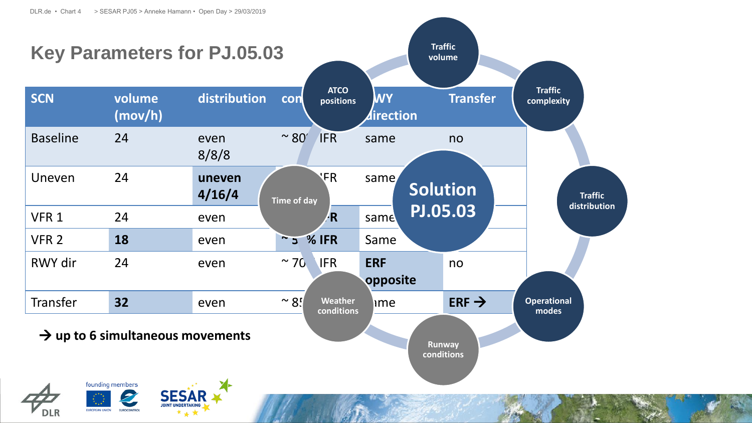**EUROCONTRO** 

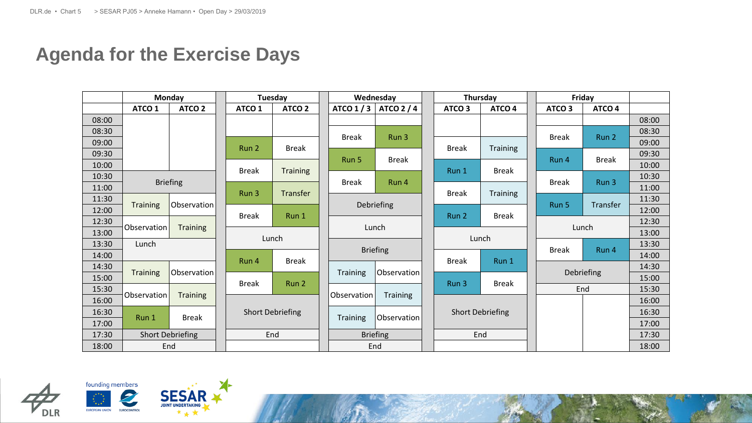# **Agenda for the Exercise Days**

|       |                                | Monday            | Tuesday                 |                   | Wednesday       |                 |  | Thursday                |                   |  | Friday            |                   |       |
|-------|--------------------------------|-------------------|-------------------------|-------------------|-----------------|-----------------|--|-------------------------|-------------------|--|-------------------|-------------------|-------|
|       | ATCO <sub>1</sub>              | ATCO <sub>2</sub> | ATCO <sub>1</sub>       | ATCO <sub>2</sub> | ATCO $1/3$      | <b>ATCO 2/4</b> |  | ATCO <sub>3</sub>       | ATCO <sub>4</sub> |  | ATCO <sub>3</sub> | ATCO <sub>4</sub> |       |
| 08:00 |                                |                   |                         |                   |                 |                 |  |                         |                   |  |                   |                   | 08:00 |
| 08:30 |                                |                   |                         |                   | <b>Break</b>    | Run 3           |  |                         |                   |  | <b>Break</b>      | Run 2             | 08:30 |
| 09:00 |                                |                   | Run 2                   | <b>Break</b>      |                 |                 |  | <b>Break</b>            | <b>Training</b>   |  |                   |                   | 09:00 |
| 09:30 |                                |                   |                         |                   | Run 5           | <b>Break</b>    |  |                         |                   |  | Run 4             | <b>Break</b>      | 09:30 |
| 10:00 |                                |                   | <b>Break</b>            | <b>Training</b>   |                 |                 |  | Run 1                   | <b>Break</b>      |  |                   |                   | 10:00 |
| 10:30 | <b>Briefing</b>                |                   |                         |                   | <b>Break</b>    | Run 4           |  |                         |                   |  | <b>Break</b>      | Run 3             | 10:30 |
| 11:00 |                                |                   | Run 3                   | Transfer          |                 |                 |  | <b>Break</b>            | <b>Training</b>   |  |                   |                   | 11:00 |
| 11:30 | <b>Training</b>                | Observation       |                         |                   | Debriefing      |                 |  |                         |                   |  | Run 5             | Transfer          | 11:30 |
| 12:00 |                                |                   | <b>Break</b>            | Run 1             |                 |                 |  | Run 2                   | <b>Break</b>      |  |                   |                   | 12:00 |
| 12:30 | Observation<br><b>Training</b> |                   |                         |                   |                 | Lunch           |  |                         |                   |  | Lunch             |                   | 12:30 |
| 13:00 |                                |                   | Lunch                   |                   |                 |                 |  | Lunch                   |                   |  |                   |                   | 13:00 |
| 13:30 | Lunch                          |                   |                         |                   | <b>Briefing</b> |                 |  |                         |                   |  | <b>Break</b>      | Run 4             | 13:30 |
| 14:00 |                                |                   | Run 4                   | <b>Break</b>      |                 |                 |  | <b>Break</b>            | Run 1             |  |                   |                   | 14:00 |
| 14:30 | <b>Training</b>                | Observation       |                         |                   | <b>Training</b> | Observation     |  |                         |                   |  | Debriefing        |                   | 14:30 |
| 15:00 |                                |                   | <b>Break</b>            | Run 2             |                 |                 |  | Run 3                   | <b>Break</b>      |  |                   |                   | 15:00 |
| 15:30 | Observation                    | <b>Training</b>   |                         |                   | Observation     | Training        |  |                         |                   |  | End               |                   | 15:30 |
| 16:00 |                                |                   |                         |                   |                 |                 |  |                         |                   |  |                   |                   | 16:00 |
| 16:30 | Run 1                          | <b>Break</b>      | <b>Short Debriefing</b> |                   | <b>Training</b> | Observation     |  | <b>Short Debriefing</b> |                   |  |                   |                   | 16:30 |
| 17:00 |                                |                   |                         |                   |                 |                 |  |                         |                   |  |                   |                   | 17:00 |
| 17:30 | <b>Short Debriefing</b>        |                   | End                     |                   |                 | <b>Briefing</b> |  | End                     |                   |  |                   |                   | 17:30 |
| 18:00 | End                            |                   |                         |                   |                 | End             |  |                         |                   |  |                   |                   | 18:00 |



EUROPEAN UNION

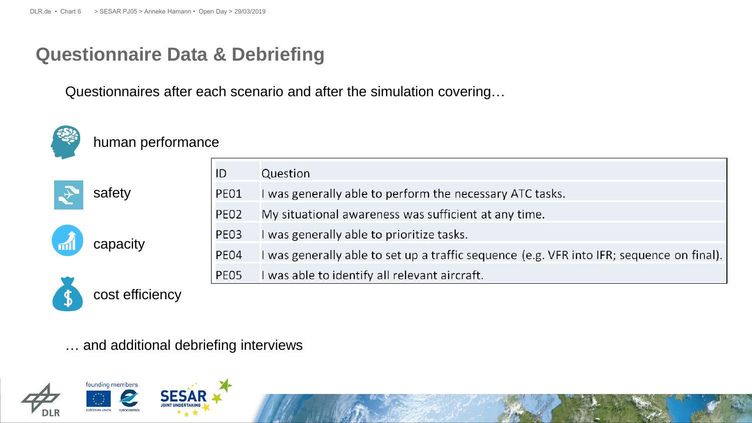#### **Questionnaire Data & Debriefing**

Questionnaires after each scenario and after the simulation covering…



#### human performance



|      | Question                                                                                  |
|------|-------------------------------------------------------------------------------------------|
| PE01 | I was generally able to perform the necessary ATC tasks.                                  |
| PEO2 | My situational awareness was sufficient at any time.                                      |
| PE03 | I was generally able to prioritize tasks.                                                 |
| PE04 | I was generally able to set up a traffic sequence (e.g. VFR into IFR; sequence on final). |
| PE05 | I was able to identify all relevant aircraft.                                             |



cost efficiency

capacity

… and additional debriefing interviews